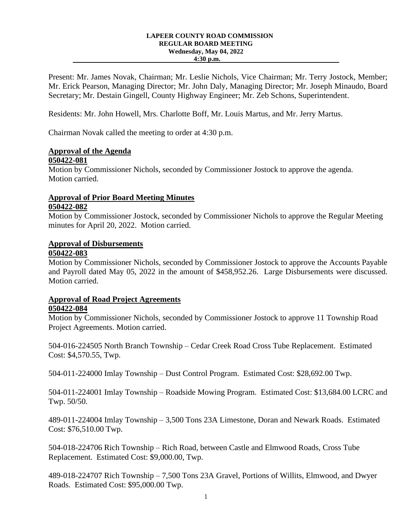#### **LAPEER COUNTY ROAD COMMISSION REGULAR BOARD MEETING Wednesday, May 04, 2022 4:30 p.m.**

Present: Mr. James Novak, Chairman; Mr. Leslie Nichols, Vice Chairman; Mr. Terry Jostock, Member; Mr. Erick Pearson, Managing Director; Mr. John Daly, Managing Director; Mr. Joseph Minaudo, Board Secretary; Mr. Destain Gingell, County Highway Engineer; Mr. Zeb Schons, Superintendent.

Residents: Mr. John Howell, Mrs. Charlotte Boff, Mr. Louis Martus, and Mr. Jerry Martus.

Chairman Novak called the meeting to order at 4:30 p.m.

# **Approval of the Agenda**

### **050422-081**

Motion by Commissioner Nichols, seconded by Commissioner Jostock to approve the agenda. Motion carried.

# **Approval of Prior Board Meeting Minutes 050422-082**

Motion by Commissioner Jostock, seconded by Commissioner Nichols to approve the Regular Meeting minutes for April 20, 2022. Motion carried.

# **Approval of Disbursements**

### **050422-083**

Motion by Commissioner Nichols, seconded by Commissioner Jostock to approve the Accounts Payable and Payroll dated May 05, 2022 in the amount of \$458,952.26. Large Disbursements were discussed. Motion carried.

# **Approval of Road Project Agreements**

# **050422-084**

Motion by Commissioner Nichols, seconded by Commissioner Jostock to approve 11 Township Road Project Agreements. Motion carried.

504-016-224505 North Branch Township – Cedar Creek Road Cross Tube Replacement. Estimated Cost: \$4,570.55, Twp.

504-011-224000 Imlay Township – Dust Control Program. Estimated Cost: \$28,692.00 Twp.

504-011-224001 Imlay Township – Roadside Mowing Program. Estimated Cost: \$13,684.00 LCRC and Twp. 50/50.

489-011-224004 Imlay Township – 3,500 Tons 23A Limestone, Doran and Newark Roads. Estimated Cost: \$76,510.00 Twp.

504-018-224706 Rich Township – Rich Road, between Castle and Elmwood Roads, Cross Tube Replacement. Estimated Cost: \$9,000.00, Twp.

489-018-224707 Rich Township – 7,500 Tons 23A Gravel, Portions of Willits, Elmwood, and Dwyer Roads. Estimated Cost: \$95,000.00 Twp.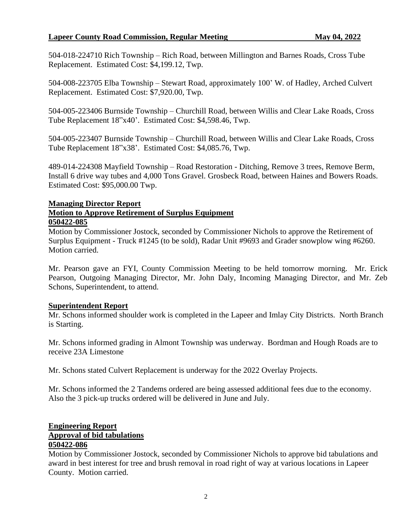### **Lapeer County Road Commission, Regular Meeting May 04, 2022**

504-018-224710 Rich Township – Rich Road, between Millington and Barnes Roads, Cross Tube Replacement. Estimated Cost: \$4,199.12, Twp.

504-008-223705 Elba Township – Stewart Road, approximately 100' W. of Hadley, Arched Culvert Replacement. Estimated Cost: \$7,920.00, Twp.

504-005-223406 Burnside Township – Churchill Road, between Willis and Clear Lake Roads, Cross Tube Replacement 18"x40'. Estimated Cost: \$4,598.46, Twp.

504-005-223407 Burnside Township – Churchill Road, between Willis and Clear Lake Roads, Cross Tube Replacement 18"x38'. Estimated Cost: \$4,085.76, Twp.

489-014-224308 Mayfield Township – Road Restoration - Ditching, Remove 3 trees, Remove Berm, Install 6 drive way tubes and 4,000 Tons Gravel. Grosbeck Road, between Haines and Bowers Roads. Estimated Cost: \$95,000.00 Twp.

#### **Managing Director Report**

#### **Motion to Approve Retirement of Surplus Equipment 050422-085**

Motion by Commissioner Jostock, seconded by Commissioner Nichols to approve the Retirement of Surplus Equipment - Truck #1245 (to be sold), Radar Unit #9693 and Grader snowplow wing #6260. Motion carried.

Mr. Pearson gave an FYI, County Commission Meeting to be held tomorrow morning. Mr. Erick Pearson, Outgoing Managing Director, Mr. John Daly, Incoming Managing Director, and Mr. Zeb Schons, Superintendent, to attend.

#### **Superintendent Report**

Mr. Schons informed shoulder work is completed in the Lapeer and Imlay City Districts. North Branch is Starting.

Mr. Schons informed grading in Almont Township was underway. Bordman and Hough Roads are to receive 23A Limestone

Mr. Schons stated Culvert Replacement is underway for the 2022 Overlay Projects.

Mr. Schons informed the 2 Tandems ordered are being assessed additional fees due to the economy. Also the 3 pick-up trucks ordered will be delivered in June and July.

#### **Engineering Report Approval of bid tabulations 050422-086**

Motion by Commissioner Jostock, seconded by Commissioner Nichols to approve bid tabulations and award in best interest for tree and brush removal in road right of way at various locations in Lapeer County. Motion carried.